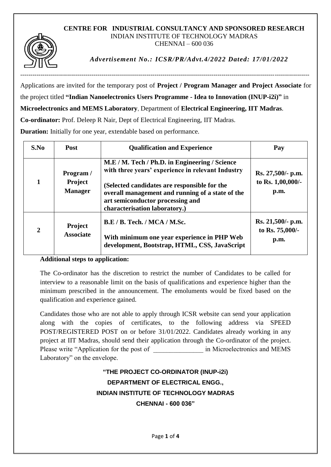## **CENTRE FOR INDUSTRIAL CONSULTANCY AND SPONSORED RESEARCH** INDIAN INSTITUTE OF TECHNOLOGY MADRAS CHENNAI – 600 036



*Advertisement No.: ICSR/PR/Advt.4/2022 Dated: 17/01/2022*

Applications are invited for the temporary post of **Project / Program Manager and Project Associate** for the project titled **"Indian Nanoelectronics Users Programme - Idea to Innovation (INUP-i2i)"** in **Microelectronics and MEMS Laboratory**, Department of **Electrical Engineering, IIT Madras**.

**Co-ordinator:** Prof. Deleep R Nair, Dept of Electrical Engineering, IIT Madras.

**Duration:** Initially for one year, extendable based on performance.

| S.No           | <b>Post</b>                            | <b>Qualification and Experience</b>                                                                                                                                                                                                                                          | Pay                                            |
|----------------|----------------------------------------|------------------------------------------------------------------------------------------------------------------------------------------------------------------------------------------------------------------------------------------------------------------------------|------------------------------------------------|
|                | Program /<br>Project<br><b>Manager</b> | M.E / M. Tech / Ph.D. in Engineering / Science<br>with three years' experience in relevant Industry<br>(Selected candidates are responsible for the<br>overall management and running of a state of the<br>art semiconductor processing and<br>characterisation laboratory.) | Rs. 27,500/- p.m.<br>to Rs. 1,00,000/-<br>p.m. |
| $\overline{2}$ | <b>Project</b><br><b>Associate</b>     | <b>B.E / B. Tech. / MCA / M.Sc.</b><br>With minimum one year experience in PHP Web<br>development, Bootstrap, HTML, CSS, JavaScript                                                                                                                                          | Rs. 21,500/- p.m.<br>to Rs. 75,000/-<br>p.m.   |

## **Additional steps to application:**

The Co-ordinator has the discretion to restrict the number of Candidates to be called for interview to a reasonable limit on the basis of qualifications and experience higher than the minimum prescribed in the announcement. The emoluments would be fixed based on the qualification and experience gained.

Candidates those who are not able to apply through ICSR website can send your application along with the copies of certificates, to the following address via SPEED POST/REGISTERED POST on or before 31/01/2022. Candidates already working in any project at IIT Madras, should send their application through the Co-ordinator of the project. Please write "Application for the post of  $\qquad \qquad$  in Microelectronics and MEMS Laboratory" on the envelope.

## **"THE PROJECT CO-ORDINATOR (INUP-i2i) DEPARTMENT OF ELECTRICAL ENGG., INDIAN INSTITUTE OF TECHNOLOGY MADRAS CHENNAI - 600 036"**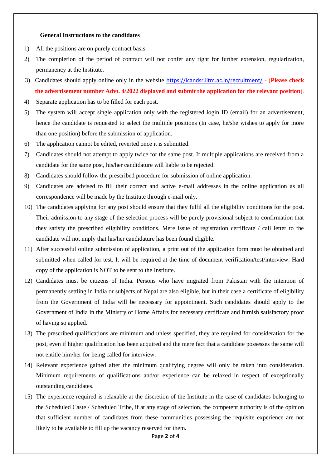## **General Instructions to the candidates**

- 1) All the positions are on purely contract basis.
- 2) The completion of the period of contract will not confer any right for further extension, regularization, permanency at the Institute.
- 3) Candidates should apply online only in the website <https://icandsr.iitm.ac.in/recruitment/> (**Please check the advertisement number Advt. 4/2022 displayed and submit the application for the relevant position**).
- 4) Separate application has to be filled for each post.
- 5) The system will accept single application only with the registered login ID (email) for an advertisement, hence the candidate is requested to select the multiple positions (In case, he/she wishes to apply for more than one position) before the submission of application.
- 6) The application cannot be edited, reverted once it is submitted.
- 7) Candidates should not attempt to apply twice for the same post. If multiple applications are received from a candidate for the same post, his/her candidature will liable to be rejected.
- 8) Candidates should follow the prescribed procedure for submission of online application.
- 9) Candidates are advised to fill their correct and active e-mail addresses in the online application as all correspondence will be made by the Institute through e-mail only.
- 10) The candidates applying for any post should ensure that they fulfil all the eligibility conditions for the post. Their admission to any stage of the selection process will be purely provisional subject to confirmation that they satisfy the prescribed eligibility conditions. Mere issue of registration certificate / call letter to the candidate will not imply that his/her candidature has been found eligible.
- 11) After successful online submission of application, a print out of the application form must be obtained and submitted when called for test. It will be required at the time of document verification/test/interview. Hard copy of the application is NOT to be sent to the Institute.
- 12) Candidates must be citizens of India. Persons who have migrated from Pakistan with the intention of permanently settling in India or subjects of Nepal are also eligible, but in their case a certificate of eligibility from the Government of India will be necessary for appointment. Such candidates should apply to the Government of India in the Ministry of Home Affairs for necessary certificate and furnish satisfactory proof of having so applied.
- 13) The prescribed qualifications are minimum and unless specified, they are required for consideration for the post, even if higher qualification has been acquired and the mere fact that a candidate possesses the same will not entitle him/her for being called for interview.
- 14) Relevant experience gained after the minimum qualifying degree will only be taken into consideration. Minimum requirements of qualifications and/or experience can be relaxed in respect of exceptionally outstanding candidates.
- 15) The experience required is relaxable at the discretion of the Institute in the case of candidates belonging to the Scheduled Caste / Scheduled Tribe, if at any stage of selection, the competent authority is of the opinion that sufficient number of candidates from these communities possessing the requisite experience are not likely to be available to fill up the vacancy reserved for them.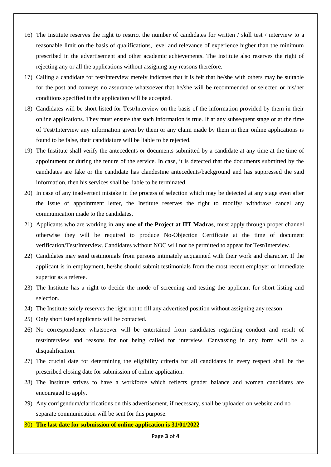- 16) The Institute reserves the right to restrict the number of candidates for written / skill test / interview to a reasonable limit on the basis of qualifications, level and relevance of experience higher than the minimum prescribed in the advertisement and other academic achievements. The Institute also reserves the right of rejecting any or all the applications without assigning any reasons therefore.
- 17) Calling a candidate for test/interview merely indicates that it is felt that he/she with others may be suitable for the post and conveys no assurance whatsoever that he/she will be recommended or selected or his/her conditions specified in the application will be accepted.
- 18) Candidates will be short-listed for Test/Interview on the basis of the information provided by them in their online applications. They must ensure that such information is true. If at any subsequent stage or at the time of Test/Interview any information given by them or any claim made by them in their online applications is found to be false, their candidature will be liable to be rejected.
- 19) The Institute shall verify the antecedents or documents submitted by a candidate at any time at the time of appointment or during the tenure of the service. In case, it is detected that the documents submitted by the candidates are fake or the candidate has clandestine antecedents/background and has suppressed the said information, then his services shall be liable to be terminated.
- 20) In case of any inadvertent mistake in the process of selection which may be detected at any stage even after the issue of appointment letter, the Institute reserves the right to modify/ withdraw/ cancel any communication made to the candidates.
- 21) Applicants who are working in **any one of the Project at IIT Madras**, must apply through proper channel otherwise they will be required to produce No-Objection Certificate at the time of document verification/Test/Interview. Candidates without NOC will not be permitted to appear for Test/Interview.
- 22) Candidates may send testimonials from persons intimately acquainted with their work and character. If the applicant is in employment, he/she should submit testimonials from the most recent employer or immediate superior as a referee.
- 23) The Institute has a right to decide the mode of screening and testing the applicant for short listing and selection.
- 24) The Institute solely reserves the right not to fill any advertised position without assigning any reason
- 25) Only shortlisted applicants will be contacted.
- 26) No correspondence whatsoever will be entertained from candidates regarding conduct and result of test/interview and reasons for not being called for interview. Canvassing in any form will be a disqualification.
- 27) The crucial date for determining the eligibility criteria for all candidates in every respect shall be the prescribed closing date for submission of online application.
- 28) The Institute strives to have a workforce which reflects gender balance and women candidates are encouraged to apply.
- 29) Any corrigendum/clarifications on this advertisement, if necessary, shall be uploaded on website and no separate communication will be sent for this purpose.
- 30) **The last date for submission of online application is 31/01/2022**

Page **3** of **4**